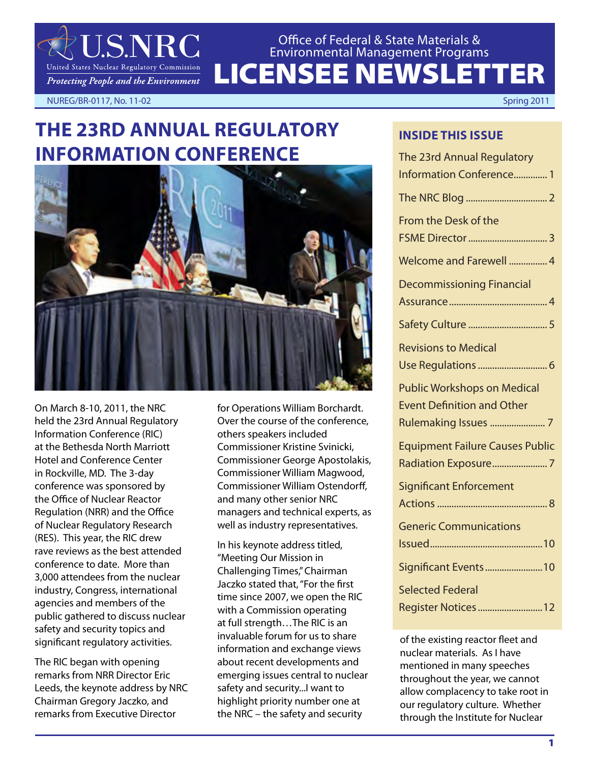

LICENSEE NEWSLETTER Office of Federal & State Materials & Environmental Management Programs

NUREG/BR-0117, No. 11-02 Spring 2011

# **THE 23RD ANNUAL REGULATORY INFORMATION CONFERENCE**



On March 8-10, 2011, the NRC held the 23rd Annual Regulatory Information Conference (RIC) at the Bethesda North Marriott Hotel and Conference Center in Rockville, MD. The 3-day conference was sponsored by the Office of Nuclear Reactor Regulation (NRR) and the Office of Nuclear Regulatory Research (RES). This year, the RIC drew rave reviews as the best attended conference to date. More than 3,000 attendees from the nuclear industry, Congress, international agencies and members of the public gathered to discuss nuclear safety and security topics and significant regulatory activities.

The RIC began with opening remarks from NRR Director Eric Leeds, the keynote address by NRC Chairman Gregory Jaczko, and remarks from Executive Director

for Operations William Borchardt. Over the course of the conference, others speakers included Commissioner Kristine Svinicki, Commissioner George Apostolakis, Commissioner William Magwood, Commissioner William Ostendorff, and many other senior NRC managers and technical experts, as well as industry representatives.

In his keynote address titled, "Meeting Our Mission in Challenging Times," Chairman Jaczko stated that, "For the first time since 2007, we open the RIC with a Commission operating at full strength…The RIC is an invaluable forum for us to share information and exchange views about recent developments and emerging issues central to nuclear safety and security...I want to highlight priority number one at the NRC – the safety and security

## **INSIDE THIS ISSUE**

| The 23rd Annual Regulatory             |
|----------------------------------------|
| <b>Information Conference 1</b>        |
|                                        |
| From the Desk of the                   |
|                                        |
| Welcome and Farewell  4                |
| <b>Decommissioning Financial</b>       |
|                                        |
|                                        |
| <b>Revisions to Medical</b>            |
|                                        |
| <b>Public Workshops on Medical</b>     |
| <b>Event Definition and Other</b>      |
| Rulemaking Issues  7                   |
| <b>Equipment Failure Causes Public</b> |
|                                        |
| <b>Significant Enforcement</b>         |
|                                        |
| <b>Generic Communications</b>          |
|                                        |
| Significant Events10                   |
| <b>Selected Federal</b>                |
| Register Notices  12                   |

of the existing reactor fleet and nuclear materials. As I have mentioned in many speeches throughout the year, we cannot allow complacency to take root in our regulatory culture. Whether through the Institute for Nuclear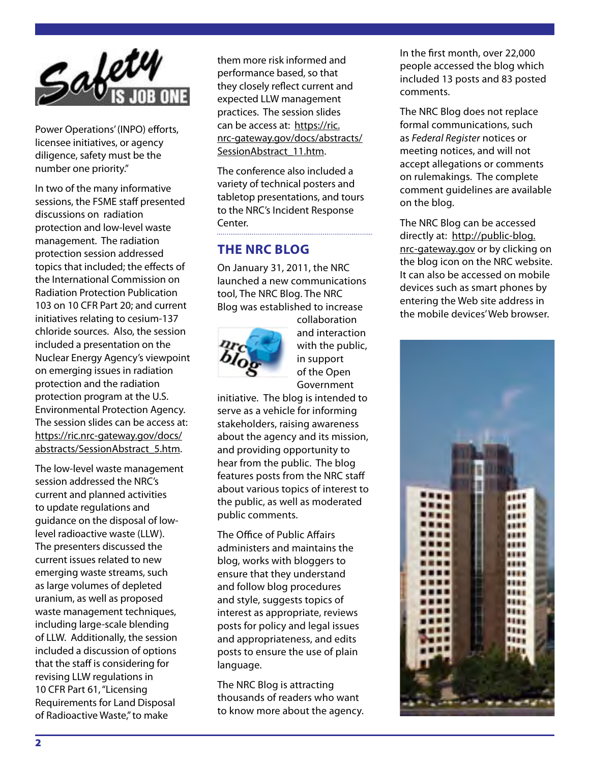

Power Operations' (INPO) efforts, licensee initiatives, or agency diligence, safety must be the number one priority."

In two of the many informative sessions, the FSME staff presented discussions on radiation protection and low-level waste management. The radiation protection session addressed topics that included; the effects of the International Commission on Radiation Protection Publication 103 on 10 CFR Part 20; and current initiatives relating to cesium-137 chloride sources. Also, the session included a presentation on the Nuclear Energy Agency's viewpoint on emerging issues in radiation protection and the radiation protection program at the U.S. Environmental Protection Agency. The session slides can be access at: https://ric.nrc-gateway.gov/docs/ abstracts/SessionAbstract\_5.htm.

The low-level waste management session addressed the NRC's current and planned activities to update regulations and guidance on the disposal of lowlevel radioactive waste (LLW). The presenters discussed the current issues related to new emerging waste streams, such as large volumes of depleted uranium, as well as proposed waste management techniques, including large-scale blending of LLW. Additionally, the session included a discussion of options that the staff is considering for revising LLW regulations in 10 CFR Part 61, "Licensing Requirements for Land Disposal of Radioactive Waste," to make

them more risk informed and performance based, so that they closely reflect current and expected LLW management practices. The session slides can be access at: https://ric. nrc-gateway.gov/docs/abstracts/ SessionAbstract\_11.htm.

The conference also included a variety of technical posters and tabletop presentations, and tours to the NRC's Incident Response Center.

## **THE NRC BLOG**

On January 31, 2011, the NRC launched a new communications tool, The NRC Blog. The NRC Blog was established to increase



collaboration and interaction with the public, in support of the Open Government

initiative. The blog is intended to serve as a vehicle for informing stakeholders, raising awareness about the agency and its mission, and providing opportunity to hear from the public. The blog features posts from the NRC staff about various topics of interest to the public, as well as moderated public comments.

The Office of Public Affairs administers and maintains the blog, works with bloggers to ensure that they understand and follow blog procedures and style, suggests topics of interest as appropriate, reviews posts for policy and legal issues and appropriateness, and edits posts to ensure the use of plain language.

The NRC Blog is attracting thousands of readers who want to know more about the agency. In the first month, over 22,000 people accessed the blog which included 13 posts and 83 posted comments.

The NRC Blog does not replace formal communications, such as *Federal Register* notices or meeting notices, and will not accept allegations or comments on rulemakings. The complete comment guidelines are available on the blog.

The NRC Blog can be accessed directly at: http://public-blog. nrc-gateway.gov or by clicking on the blog icon on the NRC website. It can also be accessed on mobile devices such as smart phones by entering the Web site address in the mobile devices' Web browser.

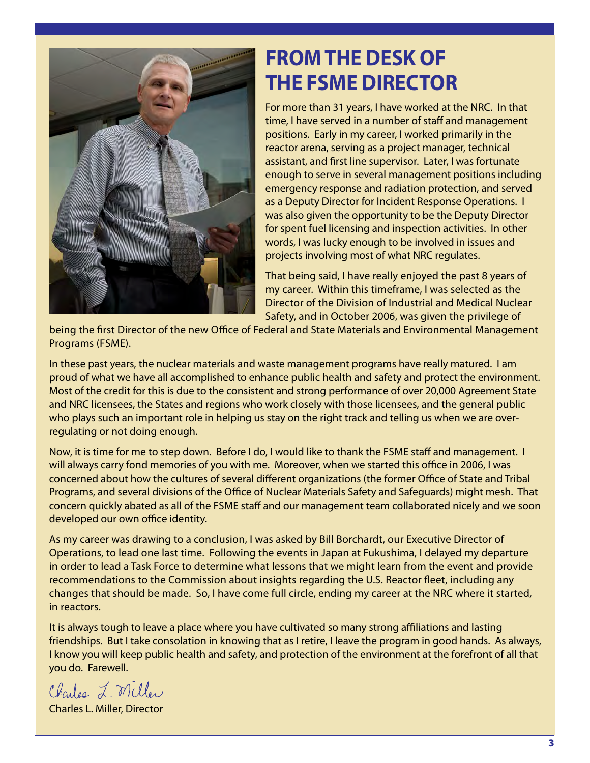

# **FROM THE DESK OF THE FSME DIRECTOR**

For more than 31 years, I have worked at the NRC. In that time, I have served in a number of staff and management positions. Early in my career, I worked primarily in the reactor arena, serving as a project manager, technical assistant, and first line supervisor. Later, I was fortunate enough to serve in several management positions including emergency response and radiation protection, and served as a Deputy Director for Incident Response Operations. I was also given the opportunity to be the Deputy Director for spent fuel licensing and inspection activities. In other words, I was lucky enough to be involved in issues and projects involving most of what NRC regulates.

That being said, I have really enjoyed the past 8 years of my career. Within this timeframe, I was selected as the Director of the Division of Industrial and Medical Nuclear Safety, and in October 2006, was given the privilege of

being the first Director of the new Office of Federal and State Materials and Environmental Management Programs (FSME).

In these past years, the nuclear materials and waste management programs have really matured. I am proud of what we have all accomplished to enhance public health and safety and protect the environment. Most of the credit for this is due to the consistent and strong performance of over 20,000 Agreement State and NRC licensees, the States and regions who work closely with those licensees, and the general public who plays such an important role in helping us stay on the right track and telling us when we are overregulating or not doing enough.

Now, it is time for me to step down. Before I do, I would like to thank the FSME staff and management. I will always carry fond memories of you with me. Moreover, when we started this office in 2006, I was concerned about how the cultures of several different organizations (the former Office of State and Tribal Programs, and several divisions of the Office of Nuclear Materials Safety and Safeguards) might mesh. That concern quickly abated as all of the FSME staff and our management team collaborated nicely and we soon developed our own office identity.

As my career was drawing to a conclusion, I was asked by Bill Borchardt, our Executive Director of Operations, to lead one last time. Following the events in Japan at Fukushima, I delayed my departure in order to lead a Task Force to determine what lessons that we might learn from the event and provide recommendations to the Commission about insights regarding the U.S. Reactor fleet, including any changes that should be made. So, I have come full circle, ending my career at the NRC where it started, in reactors.

It is always tough to leave a place where you have cultivated so many strong affiliations and lasting friendships. But I take consolation in knowing that as I retire, I leave the program in good hands. As always, I know you will keep public health and safety, and protection of the environment at the forefront of all that you do. Farewell.

Charles L. Miller

Charles L. Miller, Director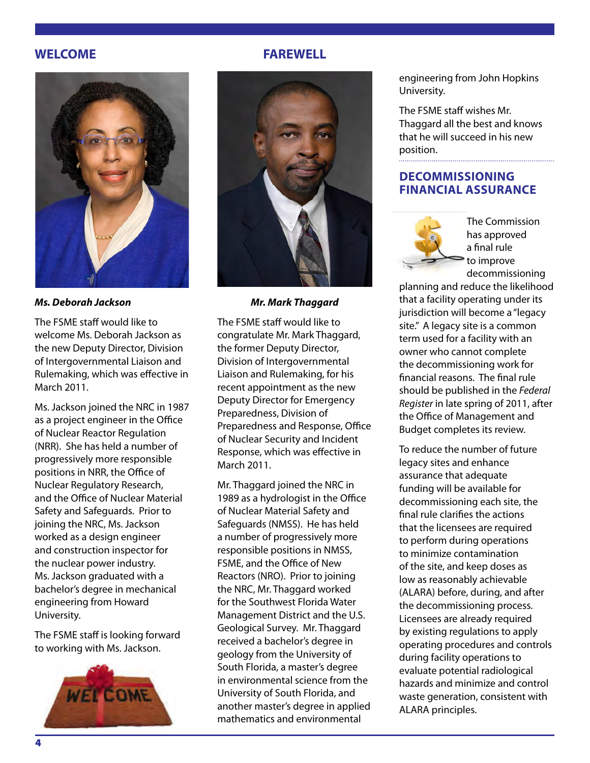## **WELCOME**



*Ms. Deborah Jackson*

The FSME staff would like to welcome Ms. Deborah Jackson as the new Deputy Director, Division of Intergovernmental Liaison and Rulemaking, which was effective in March 2011.

Ms. Jackson joined the NRC in 1987 as a project engineer in the Office of Nuclear Reactor Regulation (NRR). She has held a number of progressively more responsible positions in NRR, the Office of Nuclear Regulatory Research, and the Office of Nuclear Material Safety and Safeguards. Prior to joining the NRC, Ms. Jackson worked as a design engineer and construction inspector for the nuclear power industry. Ms. Jackson graduated with a bachelor's degree in mechanical engineering from Howard University.

The FSME staff is looking forward to working with Ms. Jackson.



## **FAREWELL**



*Mr. Mark Thaggard*

The FSME staff would like to congratulate Mr. Mark Thaggard, the former Deputy Director, Division of Intergovernmental Liaison and Rulemaking, for his recent appointment as the new Deputy Director for Emergency Preparedness, Division of Preparedness and Response, Office of Nuclear Security and Incident Response, which was effective in March 2011.

Mr. Thaggard joined the NRC in 1989 as a hydrologist in the Office of Nuclear Material Safety and Safeguards (NMSS). He has held a number of progressively more responsible positions in NMSS, FSME, and the Office of New Reactors (NRO). Prior to joining the NRC, Mr. Thaggard worked for the Southwest Florida Water Management District and the U.S. Geological Survey. Mr. Thaggard received a bachelor's degree in geology from the University of South Florida, a master's degree in environmental science from the University of South Florida, and another master's degree in applied mathematics and environmental

engineering from John Hopkins University.

The FSME staff wishes Mr. Thaggard all the best and knows that he will succeed in his new position.

## **DECOMMISSIONING FINANCIAL ASSURANCE**



The Commission has approved a final rule to improve decommissioning

planning and reduce the likelihood that a facility operating under its jurisdiction will become a "legacy site." A legacy site is a common term used for a facility with an owner who cannot complete the decommissioning work for financial reasons. The final rule should be published in the *Federal Register* in late spring of 2011, after the Office of Management and Budget completes its review.

To reduce the number of future legacy sites and enhance assurance that adequate funding will be available for decommissioning each site, the final rule clarifies the actions that the licensees are required to perform during operations to minimize contamination of the site, and keep doses as low as reasonably achievable (ALARA) before, during, and after the decommissioning process. Licensees are already required by existing regulations to apply operating procedures and controls during facility operations to evaluate potential radiological hazards and minimize and control waste generation, consistent with ALARA principles.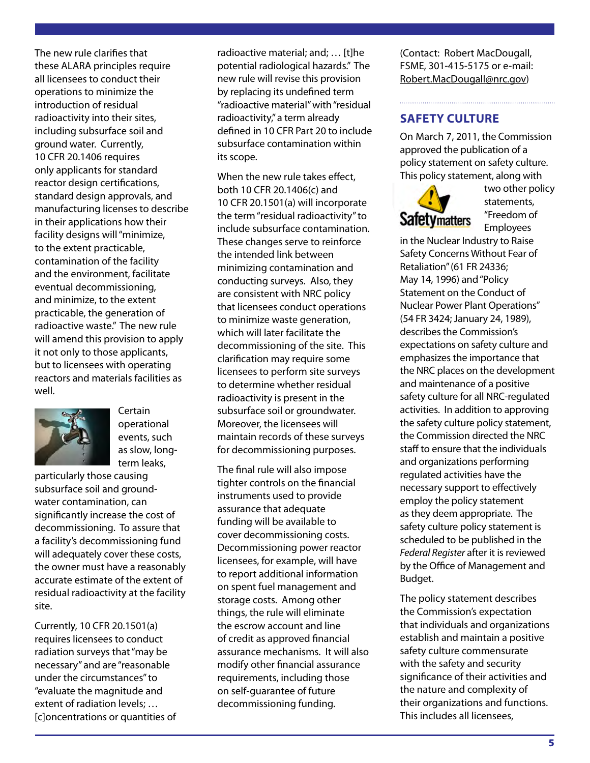The new rule clarifies that these ALARA principles require all licensees to conduct their operations to minimize the introduction of residual radioactivity into their sites, including subsurface soil and ground water. Currently, 10 CFR 20.1406 requires only applicants for standard reactor design certifications, standard design approvals, and manufacturing licenses to describe in their applications how their facility designs will "minimize, to the extent practicable, contamination of the facility and the environment, facilitate eventual decommissioning, and minimize, to the extent practicable, the generation of radioactive waste." The new rule will amend this provision to apply it not only to those applicants, but to licensees with operating reactors and materials facilities as well.



Certain operational events, such as slow, longterm leaks,

particularly those causing subsurface soil and groundwater contamination, can significantly increase the cost of decommissioning. To assure that a facility's decommissioning fund will adequately cover these costs, the owner must have a reasonably accurate estimate of the extent of residual radioactivity at the facility site.

Currently, 10 CFR 20.1501(a) requires licensees to conduct radiation surveys that "may be necessary" and are "reasonable under the circumstances" to "evaluate the magnitude and extent of radiation levels; … [c]oncentrations or quantities of

radioactive material; and; … [t]he potential radiological hazards." The new rule will revise this provision by replacing its undefined term "radioactive material" with "residual radioactivity," a term already defined in 10 CFR Part 20 to include subsurface contamination within its scope.

When the new rule takes effect, both 10 CFR 20.1406(c) and 10 CFR 20.1501(a) will incorporate the term "residual radioactivity" to include subsurface contamination. These changes serve to reinforce the intended link between minimizing contamination and conducting surveys. Also, they are consistent with NRC policy that licensees conduct operations to minimize waste generation, which will later facilitate the decommissioning of the site. This clarification may require some licensees to perform site surveys to determine whether residual radioactivity is present in the subsurface soil or groundwater. Moreover, the licensees will maintain records of these surveys for decommissioning purposes.

The final rule will also impose tighter controls on the financial instruments used to provide assurance that adequate funding will be available to cover decommissioning costs. Decommissioning power reactor licensees, for example, will have to report additional information on spent fuel management and storage costs. Among other things, the rule will eliminate the escrow account and line of credit as approved financial assurance mechanisms. It will also modify other financial assurance requirements, including those on self-guarantee of future decommissioning funding.

(Contact: Robert MacDougall, FSME, 301-415-5175 or e-mail: Robert.MacDougall@nrc.gov)

## **SAFETY CULTURE**

On March 7, 2011, the Commission approved the publication of a policy statement on safety culture. This policy statement, along with



two other policy statements, "Freedom of Employees

in the Nuclear Industry to Raise Safety Concerns Without Fear of Retaliation" (61 FR 24336; May 14, 1996) and "Policy Statement on the Conduct of Nuclear Power Plant Operations" (54 FR 3424; January 24, 1989), describes the Commission's expectations on safety culture and emphasizes the importance that the NRC places on the development and maintenance of a positive safety culture for all NRC-regulated activities. In addition to approving the safety culture policy statement, the Commission directed the NRC staff to ensure that the individuals and organizations performing regulated activities have the necessary support to effectively employ the policy statement as they deem appropriate. The safety culture policy statement is scheduled to be published in the *Federal Register* after it is reviewed by the Office of Management and Budget.

The policy statement describes the Commission's expectation that individuals and organizations establish and maintain a positive safety culture commensurate with the safety and security significance of their activities and the nature and complexity of their organizations and functions. This includes all licensees,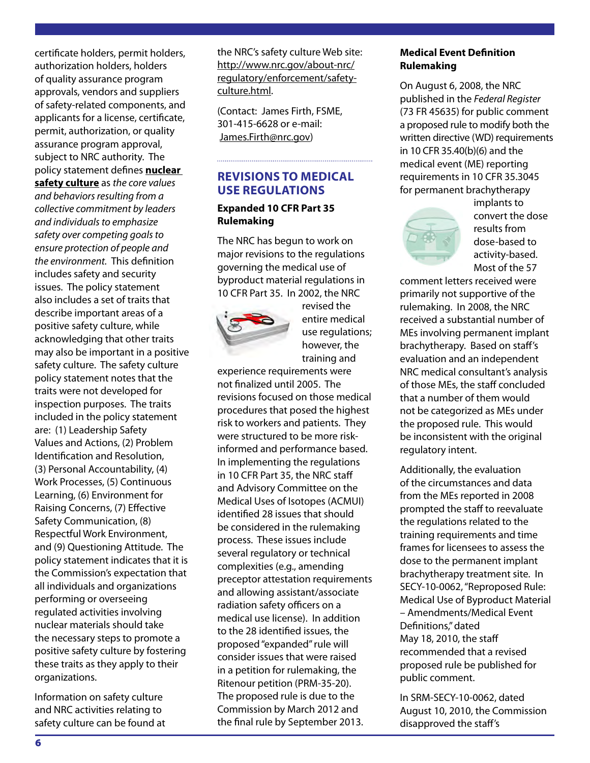certificate holders, permit holders, authorization holders, holders of quality assurance program approvals, vendors and suppliers of safety-related components, and applicants for a license, certificate, permit, authorization, or quality assurance program approval, subject to NRC authority. The policy statement defines **nuclear safety culture** as *the core values and behaviors resulting from a collective commitment by leaders and individuals to emphasize safety over competing goals to ensure protection of people and the environment.* This definition includes safety and security issues. The policy statement also includes a set of traits that describe important areas of a positive safety culture, while acknowledging that other traits may also be important in a positive safety culture. The safety culture policy statement notes that the traits were not developed for inspection purposes. The traits included in the policy statement are: (1) Leadership Safety Values and Actions, (2) Problem Identification and Resolution, (3) Personal Accountability, (4) Work Processes, (5) Continuous Learning, (6) Environment for Raising Concerns, (7) Effective Safety Communication, (8) Respectful Work Environment, and (9) Questioning Attitude. The policy statement indicates that it is the Commission's expectation that all individuals and organizations performing or overseeing regulated activities involving nuclear materials should take the necessary steps to promote a positive safety culture by fostering these traits as they apply to their organizations.

Information on safety culture and NRC activities relating to safety culture can be found at

the NRC's safety culture Web site: http://www.nrc.gov/about-nrc/ regulatory/enforcement/safetyculture.html.

(Contact: James Firth, FSME, 301-415-6628 or e-mail: James.Firth@nrc.gov)

## **REVISIONS TO MEDICAL USE REGULATIONS**

## **Expanded 10 CFR Part 35 Rulemaking**

The NRC has begun to work on major revisions to the regulations governing the medical use of byproduct material regulations in 10 CFR Part 35. In 2002, the NRC



revised the entire medical use regulations; however, the training and

experience requirements were not finalized until 2005. The revisions focused on those medical procedures that posed the highest risk to workers and patients. They were structured to be more riskinformed and performance based. In implementing the regulations in 10 CFR Part 35, the NRC staff and Advisory Committee on the Medical Uses of Isotopes (ACMUI) identified 28 issues that should be considered in the rulemaking process. These issues include several regulatory or technical complexities (e.g., amending preceptor attestation requirements and allowing assistant/associate radiation safety officers on a medical use license). In addition to the 28 identified issues, the proposed "expanded" rule will consider issues that were raised in a petition for rulemaking, the Ritenour petition (PRM-35-20). The proposed rule is due to the Commission by March 2012 and the final rule by September 2013.

## **Medical Event Definition Rulemaking**

On August 6, 2008, the NRC published in the *Federal Register*  (73 FR 45635) for public comment a proposed rule to modify both the written directive (WD) requirements in 10 CFR 35.40(b)(6) and the medical event (ME) reporting requirements in 10 CFR 35.3045 for permanent brachytherapy



implants to convert the dose results from dose-based to activity-based. Most of the 57

comment letters received were primarily not supportive of the rulemaking. In 2008, the NRC received a substantial number of MEs involving permanent implant brachytherapy. Based on staff's evaluation and an independent NRC medical consultant's analysis of those MEs, the staff concluded that a number of them would not be categorized as MEs under the proposed rule. This would be inconsistent with the original regulatory intent.

Additionally, the evaluation of the circumstances and data from the MEs reported in 2008 prompted the staff to reevaluate the regulations related to the training requirements and time frames for licensees to assess the dose to the permanent implant brachytherapy treatment site. In SECY-10-0062, "Reproposed Rule: Medical Use of Byproduct Material – Amendments/Medical Event Definitions," dated May 18, 2010, the staff recommended that a revised proposed rule be published for public comment.

In SRM-SECY-10-0062, dated August 10, 2010, the Commission disapproved the staff's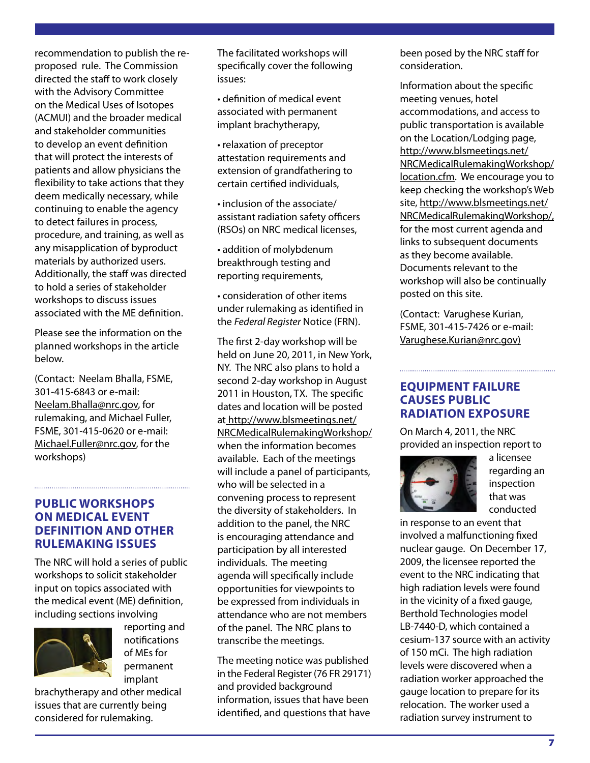recommendation to publish the reproposed rule. The Commission directed the staff to work closely with the Advisory Committee on the Medical Uses of Isotopes (ACMUI) and the broader medical and stakeholder communities to develop an event definition that will protect the interests of patients and allow physicians the flexibility to take actions that they deem medically necessary, while continuing to enable the agency to detect failures in process, procedure, and training, as well as any misapplication of byproduct materials by authorized users. Additionally, the staff was directed to hold a series of stakeholder workshops to discuss issues associated with the ME definition.

Please see the information on the planned workshops in the article below.

(Contact: Neelam Bhalla, FSME, 301-415-6843 or e-mail: Neelam.Bhalla@nrc.gov, for rulemaking, and Michael Fuller, FSME, 301-415-0620 or e-mail: Michael.Fuller@nrc.gov, for the workshops)

## **PUBLIC WORKSHOPS ON MEDICAL EVENT DEFINITION AND OTHER RULEMAKING ISSUES**

The NRC will hold a series of public workshops to solicit stakeholder input on topics associated with the medical event (ME) definition, including sections involving



reporting and notifications of MEs for permanent implant

brachytherapy and other medical issues that are currently being considered for rulemaking.

The facilitated workshops will specifically cover the following issues:

• definition of medical event associated with permanent implant brachytherapy,

• relaxation of preceptor attestation requirements and extension of grandfathering to certain certified individuals,

• inclusion of the associate/ assistant radiation safety officers (RSOs) on NRC medical licenses,

• addition of molybdenum breakthrough testing and reporting requirements,

• consideration of other items under rulemaking as identified in the *Federal Register* Notice (FRN).

The first 2-day workshop will be held on June 20, 2011, in New York, NY. The NRC also plans to hold a second 2-day workshop in August 2011 in Houston, TX. The specific dates and location will be posted at http://www.blsmeetings.net/ NRCMedicalRulemakingWorkshop/ when the information becomes available. Each of the meetings will include a panel of participants, who will be selected in a convening process to represent the diversity of stakeholders. In addition to the panel, the NRC is encouraging attendance and participation by all interested individuals. The meeting agenda will specifically include opportunities for viewpoints to be expressed from individuals in attendance who are not members of the panel. The NRC plans to transcribe the meetings.

The meeting notice was published in the Federal Register (76 FR 29171) and provided background information, issues that have been identified, and questions that have

been posed by the NRC staff for consideration.

Information about the specific meeting venues, hotel accommodations, and access to public transportation is available on the Location/Lodging page, http://www.blsmeetings.net/ NRCMedicalRulemakingWorkshop/ location.cfm. We encourage you to keep checking the workshop's Web site, http://www.blsmeetings.net/ NRCMedicalRulemakingWorkshop/, for the most current agenda and links to subsequent documents as they become available. Documents relevant to the workshop will also be continually posted on this site.

(Contact: Varughese Kurian, FSME, 301-415-7426 or e-mail: Varughese.Kurian@nrc.gov)

## **EQUIPMENT FAILURE CAUSES PUBLIC RADIATION EXPOSURE**

On March 4, 2011, the NRC provided an inspection report to



a licensee regarding an inspection that was conducted

in response to an event that involved a malfunctioning fixed nuclear gauge. On December 17, 2009, the licensee reported the event to the NRC indicating that high radiation levels were found in the vicinity of a fixed gauge, Berthold Technologies model LB-7440-D, which contained a cesium-137 source with an activity of 150 mCi. The high radiation levels were discovered when a radiation worker approached the gauge location to prepare for its relocation. The worker used a radiation survey instrument to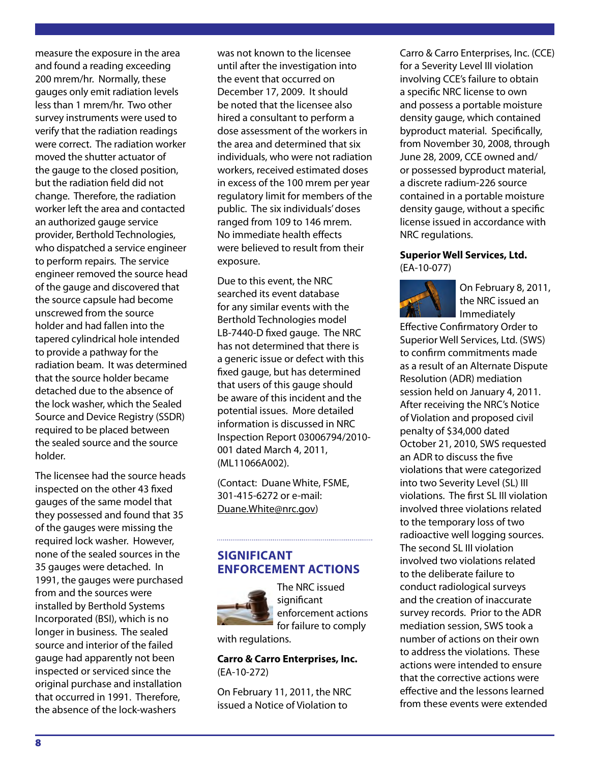measure the exposure in the area and found a reading exceeding 200 mrem/hr. Normally, these gauges only emit radiation levels less than 1 mrem/hr. Two other survey instruments were used to verify that the radiation readings were correct. The radiation worker moved the shutter actuator of the gauge to the closed position, but the radiation field did not change. Therefore, the radiation worker left the area and contacted an authorized gauge service provider, Berthold Technologies, who dispatched a service engineer to perform repairs. The service engineer removed the source head of the gauge and discovered that the source capsule had become unscrewed from the source holder and had fallen into the tapered cylindrical hole intended to provide a pathway for the radiation beam. It was determined that the source holder became detached due to the absence of the lock washer, which the Sealed Source and Device Registry (SSDR) required to be placed between the sealed source and the source holder.

The licensee had the source heads inspected on the other 43 fixed gauges of the same model that they possessed and found that 35 of the gauges were missing the required lock washer. However, none of the sealed sources in the 35 gauges were detached. In 1991, the gauges were purchased from and the sources were installed by Berthold Systems Incorporated (BSI), which is no longer in business. The sealed source and interior of the failed gauge had apparently not been inspected or serviced since the original purchase and installation that occurred in 1991. Therefore, the absence of the lock-washers

was not known to the licensee until after the investigation into the event that occurred on December 17, 2009. It should be noted that the licensee also hired a consultant to perform a dose assessment of the workers in the area and determined that six individuals, who were not radiation workers, received estimated doses in excess of the 100 mrem per year regulatory limit for members of the public. The six individuals' doses ranged from 109 to 146 mrem. No immediate health effects were believed to result from their exposure.

Due to this event, the NRC searched its event database for any similar events with the Berthold Technologies model LB-7440-D fixed gauge. The NRC has not determined that there is a generic issue or defect with this fixed gauge, but has determined that users of this gauge should be aware of this incident and the potential issues. More detailed information is discussed in NRC Inspection Report 03006794/2010- 001 dated March 4, 2011, (ML11066A002).

(Contact: Duane White, FSME, 301-415-6272 or e-mail: Duane.White@nrc.gov)

## **SIGNIFICANT ENFORCEMENT ACTIONS**



The NRC issued significant enforcement actions for failure to comply

with regulations.

**Carro & Carro Enterprises, Inc.** (EA-10-272)

On February 11, 2011, the NRC issued a Notice of Violation to

Carro & Carro Enterprises, Inc. (CCE) for a Severity Level III violation involving CCE's failure to obtain a specific NRC license to own and possess a portable moisture density gauge, which contained byproduct material. Specifically, from November 30, 2008, through June 28, 2009, CCE owned and/ or possessed byproduct material, a discrete radium-226 source contained in a portable moisture density gauge, without a specific license issued in accordance with NRC regulations.

#### **Superior Well Services, Ltd.**  (EA-10-077)



On February 8, 2011, the NRC issued an Immediately

Effective Confirmatory Order to Superior Well Services, Ltd. (SWS) to confirm commitments made as a result of an Alternate Dispute Resolution (ADR) mediation session held on January 4, 2011. After receiving the NRC's Notice of Violation and proposed civil penalty of \$34,000 dated October 21, 2010, SWS requested an ADR to discuss the five violations that were categorized into two Severity Level (SL) III violations. The first SL III violation involved three violations related to the temporary loss of two radioactive well logging sources. The second SL III violation involved two violations related to the deliberate failure to conduct radiological surveys and the creation of inaccurate survey records. Prior to the ADR mediation session, SWS took a number of actions on their own to address the violations. These actions were intended to ensure that the corrective actions were effective and the lessons learned from these events were extended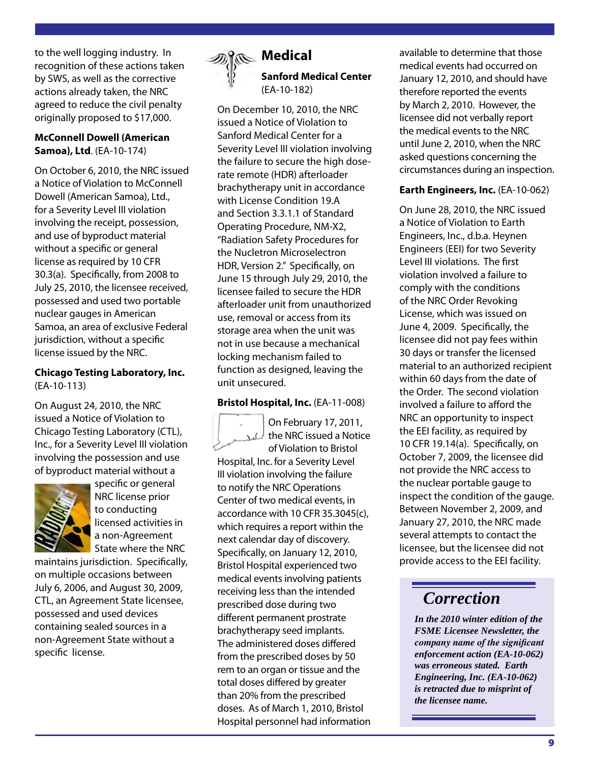to the well logging industry. In recognition of these actions taken by SWS, as well as the corrective actions already taken, the NRC agreed to reduce the civil penalty originally proposed to \$17,000.

## **McConnell Dowell (American Samoa), Ltd**. (EA-10-174)

On October 6, 2010, the NRC issued a Notice of Violation to McConnell Dowell (American Samoa), Ltd., for a Severity Level III violation involving the receipt, possession, and use of byproduct material without a specific or general license as required by 10 CFR 30.3(a). Specifically, from 2008 to July 25, 2010, the licensee received, possessed and used two portable nuclear gauges in American Samoa, an area of exclusive Federal jurisdiction, without a specific license issued by the NRC.

### **Chicago Testing Laboratory, Inc.**  (EA-10-113)

On August 24, 2010, the NRC issued a Notice of Violation to Chicago Testing Laboratory (CTL), Inc., for a Severity Level III violation involving the possession and use of byproduct material without a



specific or general NRC license prior to conducting licensed activities in a non-Agreement State where the NRC

maintains jurisdiction. Specifically, on multiple occasions between July 6, 2006, and August 30, 2009, CTL, an Agreement State licensee, possessed and used devices containing sealed sources in a non-Agreement State without a specific license.



## **Medical Sanford Medical Center** (EA-10-182)

On December 10, 2010, the NRC issued a Notice of Violation to Sanford Medical Center for a Severity Level III violation involving the failure to secure the high doserate remote (HDR) afterloader brachytherapy unit in accordance with License Condition 19.A and Section 3.3.1.1 of Standard Operating Procedure, NM-X2, "Radiation Safety Procedures for the Nucletron Microselectron HDR, Version 2." Specifically, on June 15 through July 29, 2010, the licensee failed to secure the HDR afterloader unit from unauthorized use, removal or access from its storage area when the unit was not in use because a mechanical locking mechanism failed to function as designed, leaving the unit unsecured.

## **Bristol Hospital, Inc.** (EA-11-008)



On February 17, 2011, the NRC issued a Notice of Violation to Bristol

Hospital, Inc. for a Severity Level III violation involving the failure to notify the NRC Operations Center of two medical events, in accordance with 10 CFR 35.3045(c), which requires a report within the next calendar day of discovery. Specifically, on January 12, 2010, Bristol Hospital experienced two medical events involving patients receiving less than the intended prescribed dose during two different permanent prostrate brachytherapy seed implants. The administered doses differed from the prescribed doses by 50 rem to an organ or tissue and the total doses differed by greater than 20% from the prescribed doses. As of March 1, 2010, Bristol Hospital personnel had information available to determine that those medical events had occurred on January 12, 2010, and should have therefore reported the events by March 2, 2010. However, the licensee did not verbally report the medical events to the NRC until June 2, 2010, when the NRC asked questions concerning the circumstances during an inspection.

## **Earth Engineers, Inc.** (EA-10-062)

On June 28, 2010, the NRC issued a Notice of Violation to Earth Engineers, Inc., d.b.a. Heynen Engineers (EEI) for two Severity Level III violations. The first violation involved a failure to comply with the conditions of the NRC Order Revoking License, which was issued on June 4, 2009. Specifically, the licensee did not pay fees within 30 days or transfer the licensed material to an authorized recipient within 60 days from the date of the Order. The second violation involved a failure to afford the NRC an opportunity to inspect the EEI facility, as required by 10 CFR 19.14(a). Specifically, on October 7, 2009, the licensee did not provide the NRC access to the nuclear portable gauge to inspect the condition of the gauge. Between November 2, 2009, and January 27, 2010, the NRC made several attempts to contact the licensee, but the licensee did not provide access to the EEI facility.

## *Correction*

*In the 2010 winter edition of the FSME Licensee Newsletter, the company name of the significant enforcement action (EA-10-062) was erroneous stated. Earth Engineering, Inc. (EA-10-062) is retracted due to misprint of the licensee name.*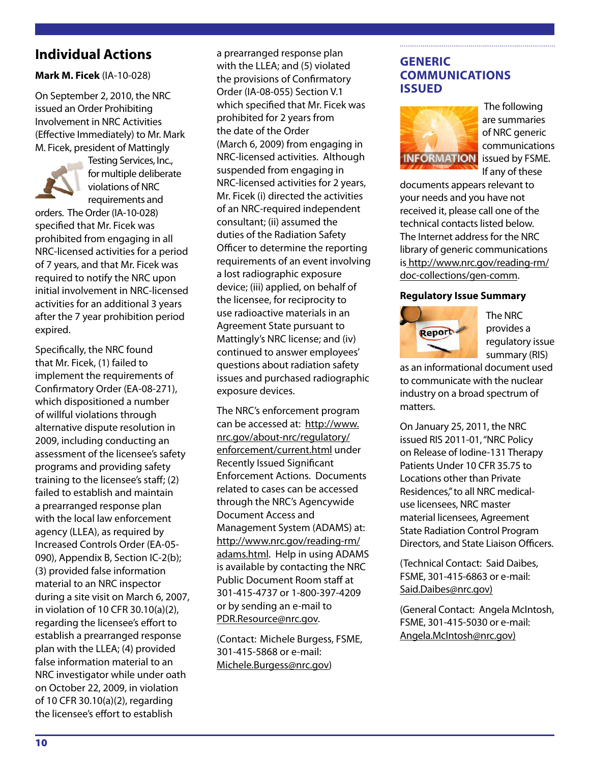## **Individual Actions**

## **Mark M. Ficek** (IA-10-028)

On September 2, 2010, the NRC issued an Order Prohibiting Involvement in NRC Activities (Effective Immediately) to Mr. Mark M. Ficek, president of Mattingly



Testing Services, Inc., for multiple deliberate violations of NRC requirements and

orders. The Order (IA-10-028) specified that Mr. Ficek was prohibited from engaging in all NRC-licensed activities for a period of 7 years, and that Mr. Ficek was required to notify the NRC upon initial involvement in NRC-licensed activities for an additional 3 years after the 7 year prohibition period expired.

Specifically, the NRC found that Mr. Ficek, (1) failed to implement the requirements of Confirmatory Order (EA-08-271), which dispositioned a number of willful violations through alternative dispute resolution in 2009, including conducting an assessment of the licensee's safety programs and providing safety training to the licensee's staff; (2) failed to establish and maintain a prearranged response plan with the local law enforcement agency (LLEA), as required by Increased Controls Order (EA-05- 090), Appendix B, Section IC-2(b); (3) provided false information material to an NRC inspector during a site visit on March 6, 2007, in violation of 10 CFR 30.10(a)(2), regarding the licensee's effort to establish a prearranged response plan with the LLEA; (4) provided false information material to an NRC investigator while under oath on October 22, 2009, in violation of 10 CFR 30.10(a)(2), regarding the licensee's effort to establish

a prearranged response plan with the LLEA; and (5) violated the provisions of Confirmatory Order (IA-08-055) Section V.1 which specified that Mr. Ficek was prohibited for 2 years from the date of the Order (March 6, 2009) from engaging in NRC-licensed activities. Although suspended from engaging in NRC-licensed activities for 2 years, Mr. Ficek (i) directed the activities of an NRC-required independent consultant; (ii) assumed the duties of the Radiation Safety Officer to determine the reporting requirements of an event involving a lost radiographic exposure device; (iii) applied, on behalf of the licensee, for reciprocity to use radioactive materials in an Agreement State pursuant to Mattingly's NRC license; and (iv) continued to answer employees' questions about radiation safety issues and purchased radiographic exposure devices.

The NRC's enforcement program can be accessed at: http://www. nrc.gov/about-nrc/regulatory/ enforcement/current.html under Recently Issued Significant Enforcement Actions. Documents related to cases can be accessed through the NRC's Agencywide Document Access and Management System (ADAMS) at: http://www.nrc.gov/reading-rm/ adams.html. Help in using ADAMS is available by contacting the NRC Public Document Room staff at 301-415-4737 or 1-800-397-4209 or by sending an e-mail to PDR.Resource@nrc.gov.

(Contact: Michele Burgess, FSME, 301-415-5868 or e-mail: Michele.Burgess@nrc.gov)

## **GENERIC COMMUNICATIONS ISSUED**



 The following are summaries of NRC generic communications If any of these

documents appears relevant to your needs and you have not received it, please call one of the technical contacts listed below. The Internet address for the NRC library of generic communications is http://www.nrc.gov/reading-rm/ doc-collections/gen-comm.

#### **Regulatory Issue Summary**



The NRC provides a regulatory issue summary (RIS)

as an informational document used to communicate with the nuclear industry on a broad spectrum of matters.

On January 25, 2011, the NRC issued RIS 2011-01, "NRC Policy on Release of Iodine-131 Therapy Patients Under 10 CFR 35.75 to Locations other than Private Residences," to all NRC medicaluse licensees, NRC master material licensees, Agreement State Radiation Control Program Directors, and State Liaison Officers.

(Technical Contact: Said Daibes, FSME, 301-415-6863 or e-mail: Said.Daibes@nrc.gov)

(General Contact: Angela McIntosh, FSME, 301-415-5030 or e-mail: Angela.McIntosh@nrc.gov)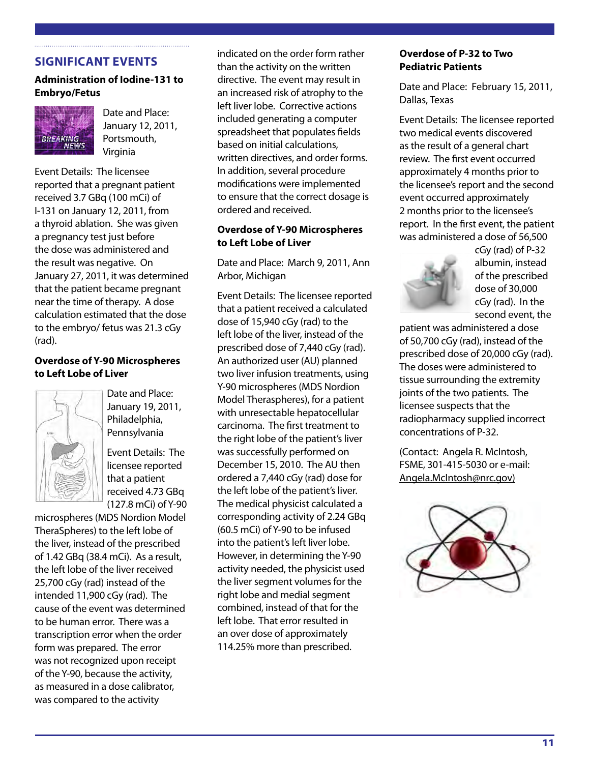## **SIGNIFICANT EVENTS**

## **Administration of Iodine-131 to Embryo/Fetus**



Date and Place: January 12, 2011, Portsmouth, Virginia

Event Details: The licensee reported that a pregnant patient received 3.7 GBq (100 mCi) of I-131 on January 12, 2011, from a thyroid ablation. She was given a pregnancy test just before the dose was administered and the result was negative. On January 27, 2011, it was determined that the patient became pregnant near the time of therapy. A dose calculation estimated that the dose to the embryo/ fetus was 21.3 cGy (rad).

#### **Overdose of Y-90 Microspheres to Left Lobe of Liver**



Date and Place: January 19, 2011, Philadelphia, Pennsylvania

Event Details: The licensee reported that a patient received 4.73 GBq (127.8 mCi) of Y-90

microspheres (MDS Nordion Model TheraSpheres) to the left lobe of the liver, instead of the prescribed of 1.42 GBq (38.4 mCi). As a result, the left lobe of the liver received 25,700 cGy (rad) instead of the intended 11,900 cGy (rad). The cause of the event was determined to be human error. There was a transcription error when the order form was prepared. The error was not recognized upon receipt of the Y-90, because the activity, as measured in a dose calibrator, was compared to the activity

indicated on the order form rather than the activity on the written directive. The event may result in an increased risk of atrophy to the left liver lobe. Corrective actions included generating a computer spreadsheet that populates fields based on initial calculations, written directives, and order forms. In addition, several procedure modifications were implemented to ensure that the correct dosage is ordered and received.

#### **Overdose of Y-90 Microspheres to Left Lobe of Liver**

Date and Place: March 9, 2011, Ann Arbor, Michigan

Event Details: The licensee reported that a patient received a calculated dose of 15,940 cGy (rad) to the left lobe of the liver, instead of the prescribed dose of 7,440 cGy (rad). An authorized user (AU) planned two liver infusion treatments, using Y-90 microspheres (MDS Nordion Model Theraspheres), for a patient with unresectable hepatocellular carcinoma. The first treatment to the right lobe of the patient's liver was successfully performed on December 15, 2010. The AU then ordered a 7,440 cGy (rad) dose for the left lobe of the patient's liver. The medical physicist calculated a corresponding activity of 2.24 GBq (60.5 mCi) of Y-90 to be infused into the patient's left liver lobe. However, in determining the Y-90 activity needed, the physicist used the liver segment volumes for the right lobe and medial segment combined, instead of that for the left lobe. That error resulted in an over dose of approximately 114.25% more than prescribed.

#### **Overdose of P-32 to Two Pediatric Patients**

Date and Place: February 15, 2011, Dallas, Texas

Event Details: The licensee reported two medical events discovered as the result of a general chart review. The first event occurred approximately 4 months prior to the licensee's report and the second event occurred approximately 2 months prior to the licensee's report. In the first event, the patient was administered a dose of 56,500



cGy (rad) of P-32 albumin, instead of the prescribed dose of 30,000 cGy (rad). In the second event, the

patient was administered a dose of 50,700 cGy (rad), instead of the prescribed dose of 20,000 cGy (rad). The doses were administered to tissue surrounding the extremity joints of the two patients. The licensee suspects that the radiopharmacy supplied incorrect concentrations of P-32.

(Contact: Angela R. McIntosh, FSME, 301-415-5030 or e-mail: Angela.McIntosh@nrc.gov)

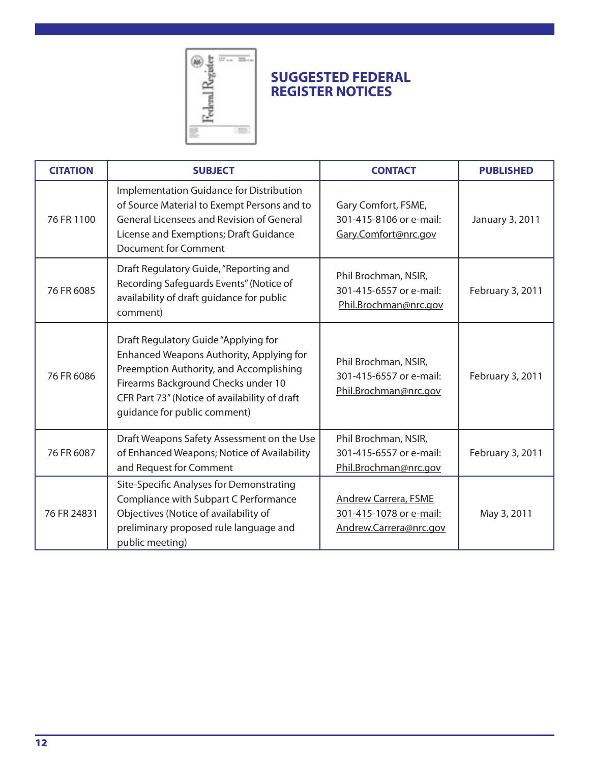

## **SUGGESTED FEDERAL REGISTER NOTICES**

| <b>CITATION</b> | <b>SUBJECT</b>                                                                                                                                                                                                                                      | <b>CONTACT</b>                                                                   | <b>PUBLISHED</b> |
|-----------------|-----------------------------------------------------------------------------------------------------------------------------------------------------------------------------------------------------------------------------------------------------|----------------------------------------------------------------------------------|------------------|
| 76 FR 1100      | Implementation Guidance for Distribution<br>of Source Material to Exempt Persons and to<br><b>General Licensees and Revision of General</b><br>License and Exemptions; Draft Guidance<br><b>Document for Comment</b>                                | Gary Comfort, FSME,<br>301-415-8106 or e-mail:<br>Gary.Comfort@nrc.gov           | January 3, 2011  |
| 76 FR 6085      | Draft Regulatory Guide, "Reporting and<br>Recording Safeguards Events" (Notice of<br>availability of draft guidance for public<br>comment)                                                                                                          | Phil Brochman, NSIR,<br>301-415-6557 or e-mail:<br>Phil.Brochman@nrc.gov         | February 3, 2011 |
| 76 FR 6086      | Draft Regulatory Guide "Applying for<br>Enhanced Weapons Authority, Applying for<br>Preemption Authority, and Accomplishing<br>Firearms Background Checks under 10<br>CFR Part 73" (Notice of availability of draft<br>guidance for public comment) | Phil Brochman, NSIR,<br>301-415-6557 or e-mail:<br>Phil.Brochman@nrc.gov         | February 3, 2011 |
| 76 FR 6087      | Draft Weapons Safety Assessment on the Use<br>of Enhanced Weapons; Notice of Availability<br>and Request for Comment                                                                                                                                | Phil Brochman, NSIR,<br>301-415-6557 or e-mail:<br>Phil.Brochman@nrc.gov         | February 3, 2011 |
| 76 FR 24831     | Site-Specific Analyses for Demonstrating<br>Compliance with Subpart C Performance<br>Objectives (Notice of availability of<br>preliminary proposed rule language and<br>public meeting)                                                             | <b>Andrew Carrera, FSME</b><br>301-415-1078 or e-mail:<br>Andrew.Carrera@nrc.gov | May 3, 2011      |